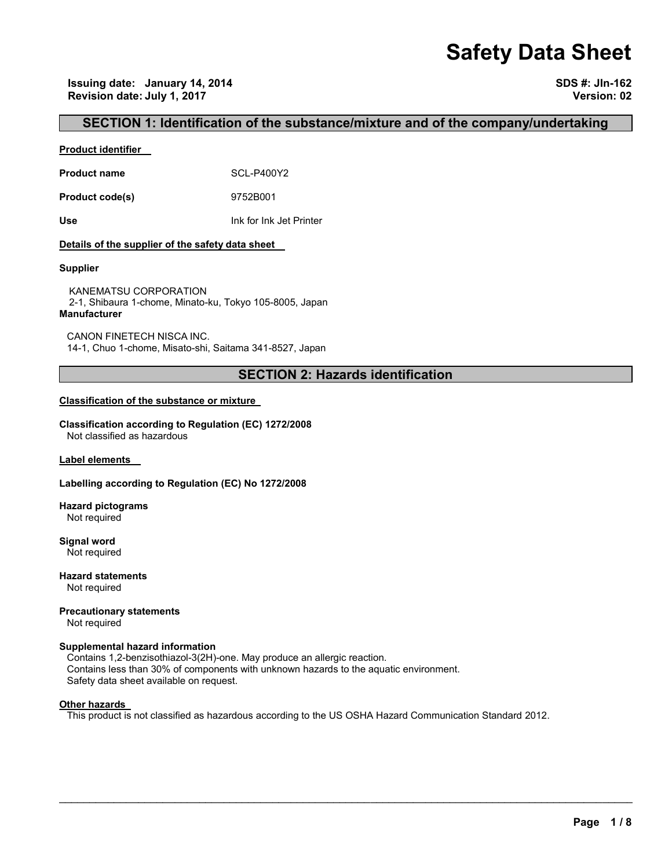# **Safety Data Sheet**

**Issuing date: January 14, 2014 SDS #: JIn-162 Revision date: July 1, 2017 Version: 02** 

## **SECTION 1: Identification of the substance/mixture and of the company/undertaking**

#### **Product identifier**

**Product name** SCL-P400Y2

**Product code(s)** 9752B001

**Use** Ink for Ink Jet Printer

#### **Details of the supplier of the safety data sheet**

#### **Supplier**

KANEMATSU CORPORATION 2-1, Shibaura 1-chome, Minato-ku, Tokyo 105-8005, Japan **Manufacturer**

CANON FINETECH NISCA INC. 14-1, Chuo 1-chome, Misato-shi, Saitama 341-8527, Japan

## **SECTION 2: Hazards identification**

#### **Classification of the substance or mixture**

**Classification according to Regulation (EC) 1272/2008** Not classified as hazardous

**Label elements** 

#### **Labelling according to Regulation (EC) No 1272/2008**

**Hazard pictograms** Not required

**Signal word** Not required

**Hazard statements** Not required

**Precautionary statements**  Not required

## **Supplemental hazard information**

Contains 1,2-benzisothiazol-3(2H)-one. May produce an allergic reaction. Contains less than 30% of components with unknown hazards to the aquatic environment. Safety data sheet available on request.

#### **Other hazards**

This product is not classified as hazardous according to the US OSHA Hazard Communication Standard 2012.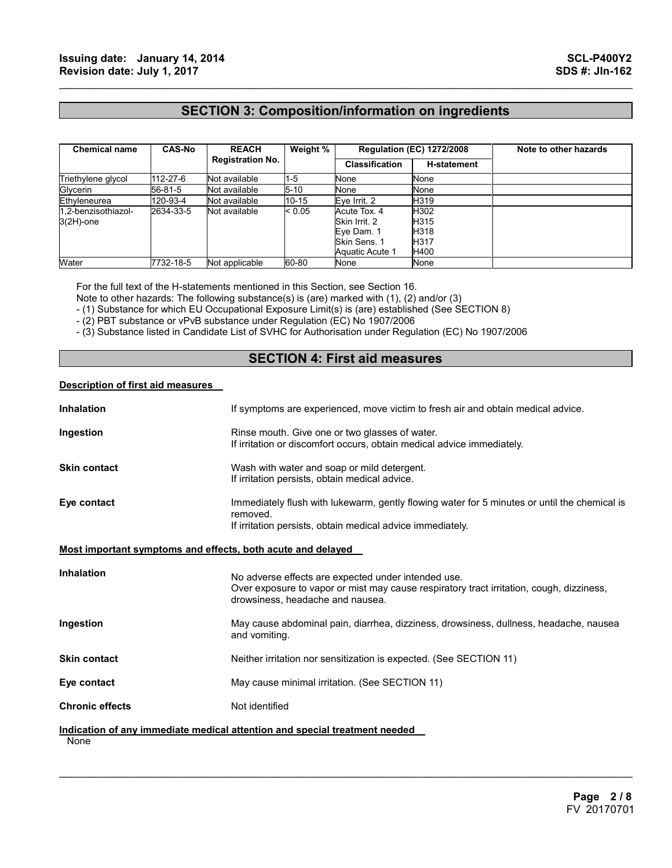## **SECTION 3: Composition/information on ingredients**

 $\mathcal{L}_\mathcal{L} = \{ \mathcal{L}_\mathcal{L} = \{ \mathcal{L}_\mathcal{L} = \{ \mathcal{L}_\mathcal{L} = \{ \mathcal{L}_\mathcal{L} = \{ \mathcal{L}_\mathcal{L} = \{ \mathcal{L}_\mathcal{L} = \{ \mathcal{L}_\mathcal{L} = \{ \mathcal{L}_\mathcal{L} = \{ \mathcal{L}_\mathcal{L} = \{ \mathcal{L}_\mathcal{L} = \{ \mathcal{L}_\mathcal{L} = \{ \mathcal{L}_\mathcal{L} = \{ \mathcal{L}_\mathcal{L} = \{ \mathcal{L}_\mathcal{$ 

| <b>Chemical name</b> | <b>CAS-No</b> | <b>REACH</b><br><b>Registration No.</b> | Weight %  | <b>Regulation (EC) 1272/2008</b> |                    | Note to other hazards |
|----------------------|---------------|-----------------------------------------|-----------|----------------------------------|--------------------|-----------------------|
|                      |               |                                         |           | <b>Classification</b>            | <b>H-statement</b> |                       |
| Triethylene glycol   | 112-27-6      | Not available                           | $1 - 5$   | None                             | None               |                       |
| Glycerin             | 56-81-5       | Not available                           | $5 - 10$  | None                             | None               |                       |
| Ethyleneurea         | 120-93-4      | Not available                           | $10 - 15$ | Eve Irrit. 2                     | H319               |                       |
| 1.2-benzisothiazol-  | 2634-33-5     | Not available                           | < 0.05    | Acute Tox. 4                     | H302               |                       |
| $3(2H)$ -one         |               |                                         |           | Skin Irrit, 2                    | H315               |                       |
|                      |               |                                         |           | Eye Dam. 1                       | H318               |                       |
|                      |               |                                         |           | Skin Sens. 1                     | <b>H317</b>        |                       |
|                      |               |                                         |           | Aquatic Acute 1                  | H400               |                       |
| Water                | 7732-18-5     | Not applicable                          | 60-80     | None                             | None               |                       |

For the full text of the H-statements mentioned in this Section, see Section 16.

Note to other hazards: The following substance(s) is (are) marked with (1), (2) and/or (3)

- (1) Substance for which EU Occupational Exposure Limit(s) is (are) established (See SECTION 8)

- (2) PBT substance or vPvB substance under Regulation (EC) No 1907/2006

- (3) Substance listed in Candidate List of SVHC for Authorisation under Regulation (EC) No 1907/2006

## **SECTION 4: First aid measures**

#### **Description of first aid measures**

| <b>Inhalation</b>                                           | If symptoms are experienced, move victim to fresh air and obtain medical advice.                                                                                                    |
|-------------------------------------------------------------|-------------------------------------------------------------------------------------------------------------------------------------------------------------------------------------|
| Ingestion                                                   | Rinse mouth. Give one or two glasses of water.<br>If irritation or discomfort occurs, obtain medical advice immediately.                                                            |
| <b>Skin contact</b>                                         | Wash with water and soap or mild detergent.<br>If irritation persists, obtain medical advice.                                                                                       |
| Eye contact                                                 | Immediately flush with lukewarm, gently flowing water for 5 minutes or until the chemical is<br>removed.<br>If irritation persists, obtain medical advice immediately.              |
| Most important symptoms and effects, both acute and delayed |                                                                                                                                                                                     |
| <b>Inhalation</b>                                           | No adverse effects are expected under intended use.<br>Over exposure to vapor or mist may cause respiratory tract irritation, cough, dizziness,<br>drowsiness, headache and nausea. |
| Ingestion                                                   | May cause abdominal pain, diarrhea, dizziness, drowsiness, dullness, headache, nausea<br>and vomiting.                                                                              |
| <b>Skin contact</b>                                         | Neither irritation nor sensitization is expected. (See SECTION 11)                                                                                                                  |
| Eye contact                                                 | May cause minimal irritation. (See SECTION 11)                                                                                                                                      |
| <b>Chronic effects</b>                                      | Not identified                                                                                                                                                                      |
| None                                                        | Indication of any immediate medical attention and special treatment needed                                                                                                          |

 $\mathcal{L}_\mathcal{L} = \mathcal{L}_\mathcal{L} = \mathcal{L}_\mathcal{L} = \mathcal{L}_\mathcal{L} = \mathcal{L}_\mathcal{L} = \mathcal{L}_\mathcal{L} = \mathcal{L}_\mathcal{L} = \mathcal{L}_\mathcal{L} = \mathcal{L}_\mathcal{L} = \mathcal{L}_\mathcal{L} = \mathcal{L}_\mathcal{L} = \mathcal{L}_\mathcal{L} = \mathcal{L}_\mathcal{L} = \mathcal{L}_\mathcal{L} = \mathcal{L}_\mathcal{L} = \mathcal{L}_\mathcal{L} = \mathcal{L}_\mathcal{L}$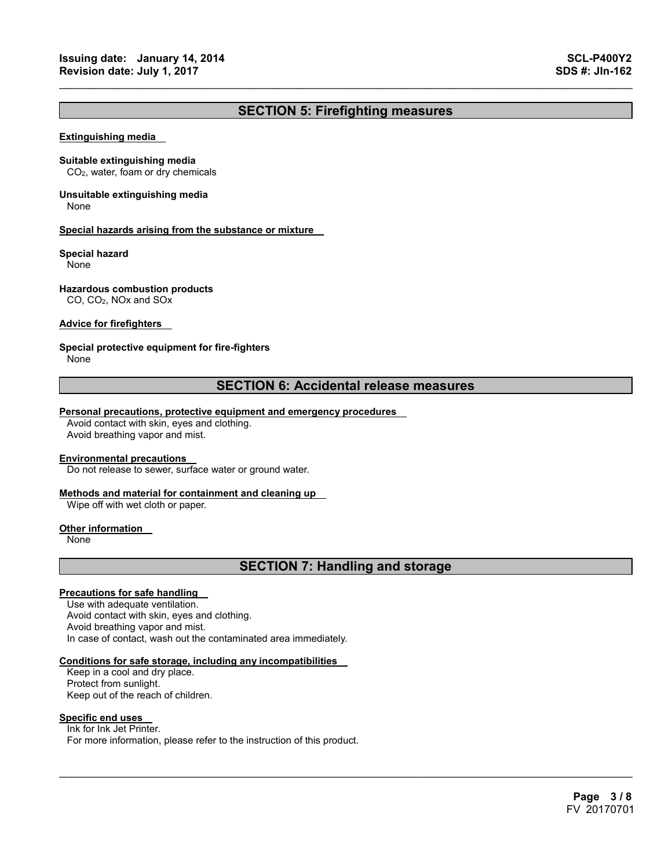## **SECTION 5: Firefighting measures**

 $\mathcal{L}_\mathcal{L} = \{ \mathcal{L}_\mathcal{L} = \{ \mathcal{L}_\mathcal{L} = \{ \mathcal{L}_\mathcal{L} = \{ \mathcal{L}_\mathcal{L} = \{ \mathcal{L}_\mathcal{L} = \{ \mathcal{L}_\mathcal{L} = \{ \mathcal{L}_\mathcal{L} = \{ \mathcal{L}_\mathcal{L} = \{ \mathcal{L}_\mathcal{L} = \{ \mathcal{L}_\mathcal{L} = \{ \mathcal{L}_\mathcal{L} = \{ \mathcal{L}_\mathcal{L} = \{ \mathcal{L}_\mathcal{L} = \{ \mathcal{L}_\mathcal{$ 

#### **Extinguishing media**

#### **Suitable extinguishing media**

CO2, water, foam or dry chemicals

## **Unsuitable extinguishing media**

None

#### **Special hazards arising from the substance or mixture**

#### **Special hazard**

None

#### **Hazardous combustion products**

CO, CO2, NOx and SOx

#### **Advice for firefighters**

#### **Special protective equipment for fire-fighters**

None

### **SECTION 6: Accidental release measures**

#### **Personal precautions, protective equipment and emergency procedures**

Avoid contact with skin, eyes and clothing. Avoid breathing vapor and mist.

#### **Environmental precautions**

Do not release to sewer, surface water or ground water.

#### **Methods and material for containment and cleaning up**

Wipe off with wet cloth or paper.

#### **Other information**

None

## **SECTION 7: Handling and storage**

 $\mathcal{L}_\mathcal{L} = \mathcal{L}_\mathcal{L} = \mathcal{L}_\mathcal{L} = \mathcal{L}_\mathcal{L} = \mathcal{L}_\mathcal{L} = \mathcal{L}_\mathcal{L} = \mathcal{L}_\mathcal{L} = \mathcal{L}_\mathcal{L} = \mathcal{L}_\mathcal{L} = \mathcal{L}_\mathcal{L} = \mathcal{L}_\mathcal{L} = \mathcal{L}_\mathcal{L} = \mathcal{L}_\mathcal{L} = \mathcal{L}_\mathcal{L} = \mathcal{L}_\mathcal{L} = \mathcal{L}_\mathcal{L} = \mathcal{L}_\mathcal{L}$ 

#### **Precautions for safe handling**

Use with adequate ventilation. Avoid contact with skin, eyes and clothing. Avoid breathing vapor and mist. In case of contact, wash out the contaminated area immediately.

#### **Conditions for safe storage, including any incompatibilities**

Keep in a cool and dry place. Protect from sunlight. Keep out of the reach of children.

#### **Specific end uses**

Ink for Ink Jet Printer. For more information, please refer to the instruction of this product.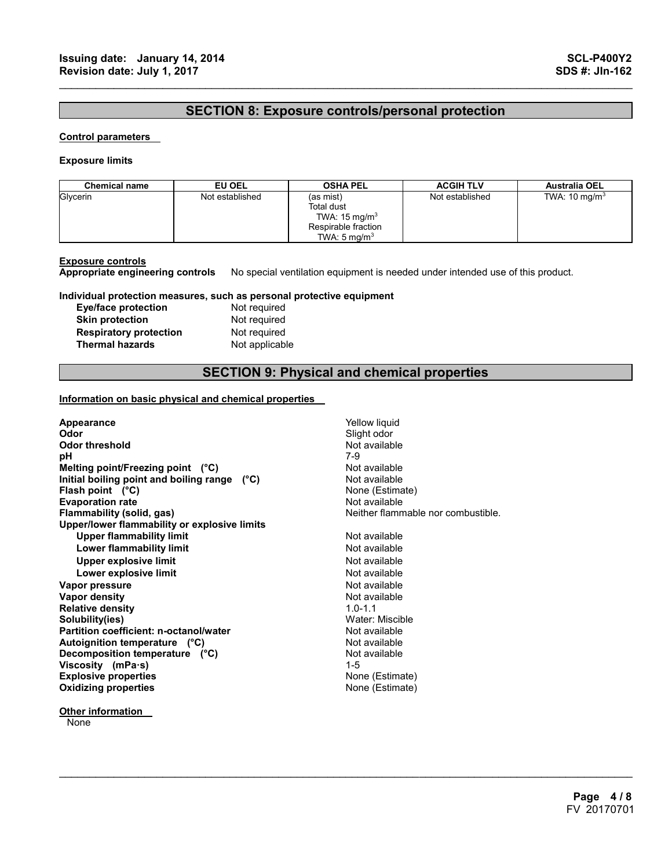## **SECTION 8: Exposure controls/personal protection**

 $\mathcal{L}_\mathcal{L} = \{ \mathcal{L}_\mathcal{L} = \{ \mathcal{L}_\mathcal{L} = \{ \mathcal{L}_\mathcal{L} = \{ \mathcal{L}_\mathcal{L} = \{ \mathcal{L}_\mathcal{L} = \{ \mathcal{L}_\mathcal{L} = \{ \mathcal{L}_\mathcal{L} = \{ \mathcal{L}_\mathcal{L} = \{ \mathcal{L}_\mathcal{L} = \{ \mathcal{L}_\mathcal{L} = \{ \mathcal{L}_\mathcal{L} = \{ \mathcal{L}_\mathcal{L} = \{ \mathcal{L}_\mathcal{L} = \{ \mathcal{L}_\mathcal{$ 

#### **Control parameters**

#### **Exposure limits**

| <b>Chemical name</b> | EU OEL          | <b>OSHA PEL</b>                                                                                              | <b>ACGIH TLV</b> | <b>Australia OEL</b>     |
|----------------------|-----------------|--------------------------------------------------------------------------------------------------------------|------------------|--------------------------|
| Glycerin             | Not established | (as mist)<br><b>Total dust</b><br>TWA: $15 \text{ mg/m}^3$<br>Respirable fraction<br>TWA: $5 \text{ ma/m}^3$ | Not established  | TWA: $10 \text{ mg/m}^3$ |

**Exposure controls Appropriate engineering controls** No special ventilation equipment is needed under intended use of this product.

#### **Individual protection measures, such as personal protective equipment**

| <b>Eye/face protection</b>    |  |
|-------------------------------|--|
| <b>Skin protection</b>        |  |
| <b>Respiratory protection</b> |  |
| <b>Thermal hazards</b>        |  |

Not required **Not required Not required Not applicable** 

## **SECTION 9: Physical and chemical properties**

 $\mathcal{L}_\mathcal{L} = \mathcal{L}_\mathcal{L} = \mathcal{L}_\mathcal{L} = \mathcal{L}_\mathcal{L} = \mathcal{L}_\mathcal{L} = \mathcal{L}_\mathcal{L} = \mathcal{L}_\mathcal{L} = \mathcal{L}_\mathcal{L} = \mathcal{L}_\mathcal{L} = \mathcal{L}_\mathcal{L} = \mathcal{L}_\mathcal{L} = \mathcal{L}_\mathcal{L} = \mathcal{L}_\mathcal{L} = \mathcal{L}_\mathcal{L} = \mathcal{L}_\mathcal{L} = \mathcal{L}_\mathcal{L} = \mathcal{L}_\mathcal{L}$ 

#### **Information on basic physical and chemical properties**

| Appearance                                                                                                                                                           | Yellow liquid                                                    |
|----------------------------------------------------------------------------------------------------------------------------------------------------------------------|------------------------------------------------------------------|
| Odor                                                                                                                                                                 | Slight odor                                                      |
| <b>Odor threshold</b>                                                                                                                                                | Not available                                                    |
| рH                                                                                                                                                                   | 7-9                                                              |
| Melting point/Freezing point (°C)                                                                                                                                    | Not available                                                    |
| Initial boiling point and boiling range (°C)                                                                                                                         | Not available                                                    |
| Flash point $(^{\circ}C)$                                                                                                                                            | None (Estimate)                                                  |
| <b>Evaporation rate</b>                                                                                                                                              | Not available                                                    |
| Flammability (solid, gas)                                                                                                                                            | Neither flammable nor combustible.                               |
| Upper/lower flammability or explosive limits<br><b>Upper flammability limit</b><br>Lower flammability limit<br><b>Upper explosive limit</b><br>Lower explosive limit | Not available<br>Not available<br>Not available<br>Not available |
| Vapor pressure                                                                                                                                                       | Not available                                                    |
| Vapor density                                                                                                                                                        | Not available                                                    |
| <b>Relative density</b>                                                                                                                                              | $1.0 - 1.1$                                                      |
| Solubility(ies)                                                                                                                                                      | Water: Miscible                                                  |
| Partition coefficient: n-octanol/water                                                                                                                               | Not available                                                    |
| Autoignition temperature (°C)                                                                                                                                        | Not available                                                    |
| Decomposition temperature (°C)                                                                                                                                       | Not available                                                    |
| Viscosity (mPa·s)                                                                                                                                                    | $1 - 5$                                                          |
| <b>Explosive properties</b>                                                                                                                                          | None (Estimate)                                                  |
| <b>Oxidizing properties</b>                                                                                                                                          | None (Estimate)                                                  |

**None**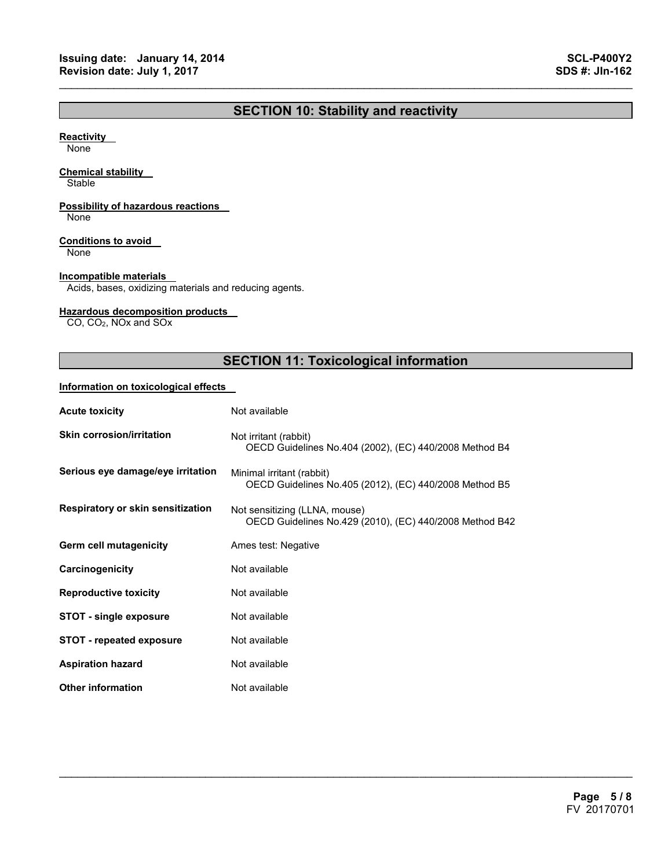## **SECTION 10: Stability and reactivity**

 $\mathcal{L}_\mathcal{L} = \{ \mathcal{L}_\mathcal{L} = \{ \mathcal{L}_\mathcal{L} = \{ \mathcal{L}_\mathcal{L} = \{ \mathcal{L}_\mathcal{L} = \{ \mathcal{L}_\mathcal{L} = \{ \mathcal{L}_\mathcal{L} = \{ \mathcal{L}_\mathcal{L} = \{ \mathcal{L}_\mathcal{L} = \{ \mathcal{L}_\mathcal{L} = \{ \mathcal{L}_\mathcal{L} = \{ \mathcal{L}_\mathcal{L} = \{ \mathcal{L}_\mathcal{L} = \{ \mathcal{L}_\mathcal{L} = \{ \mathcal{L}_\mathcal{$ 

#### **Reactivity**

None

#### **Chemical stability**

**Stable** 

### **Possibility of hazardous reactions**

None

#### **Conditions to avoid**

None

#### **Incompatible materials**

Acids, bases, oxidizing materials and reducing agents.

#### **Hazardous decomposition products**

CO, CO2, NOx and SOx

## **SECTION 11: Toxicological information**

 $\mathcal{L}_\mathcal{L} = \mathcal{L}_\mathcal{L} = \mathcal{L}_\mathcal{L} = \mathcal{L}_\mathcal{L} = \mathcal{L}_\mathcal{L} = \mathcal{L}_\mathcal{L} = \mathcal{L}_\mathcal{L} = \mathcal{L}_\mathcal{L} = \mathcal{L}_\mathcal{L} = \mathcal{L}_\mathcal{L} = \mathcal{L}_\mathcal{L} = \mathcal{L}_\mathcal{L} = \mathcal{L}_\mathcal{L} = \mathcal{L}_\mathcal{L} = \mathcal{L}_\mathcal{L} = \mathcal{L}_\mathcal{L} = \mathcal{L}_\mathcal{L}$ 

#### **Information on toxicological effects**

| <b>Acute toxicity</b>             | Not available                                                                            |
|-----------------------------------|------------------------------------------------------------------------------------------|
| <b>Skin corrosion/irritation</b>  | Not irritant (rabbit)<br>OECD Guidelines No.404 (2002), (EC) 440/2008 Method B4          |
| Serious eye damage/eye irritation | Minimal irritant (rabbit)<br>OECD Guidelines No.405 (2012), (EC) 440/2008 Method B5      |
| Respiratory or skin sensitization | Not sensitizing (LLNA, mouse)<br>OECD Guidelines No.429 (2010), (EC) 440/2008 Method B42 |
| Germ cell mutagenicity            | Ames test: Negative                                                                      |
| Carcinogenicity                   | Not available                                                                            |
| <b>Reproductive toxicity</b>      | Not available                                                                            |
| <b>STOT - single exposure</b>     | Not available                                                                            |
| <b>STOT - repeated exposure</b>   | Not available                                                                            |
| <b>Aspiration hazard</b>          | Not available                                                                            |
| <b>Other information</b>          | Not available                                                                            |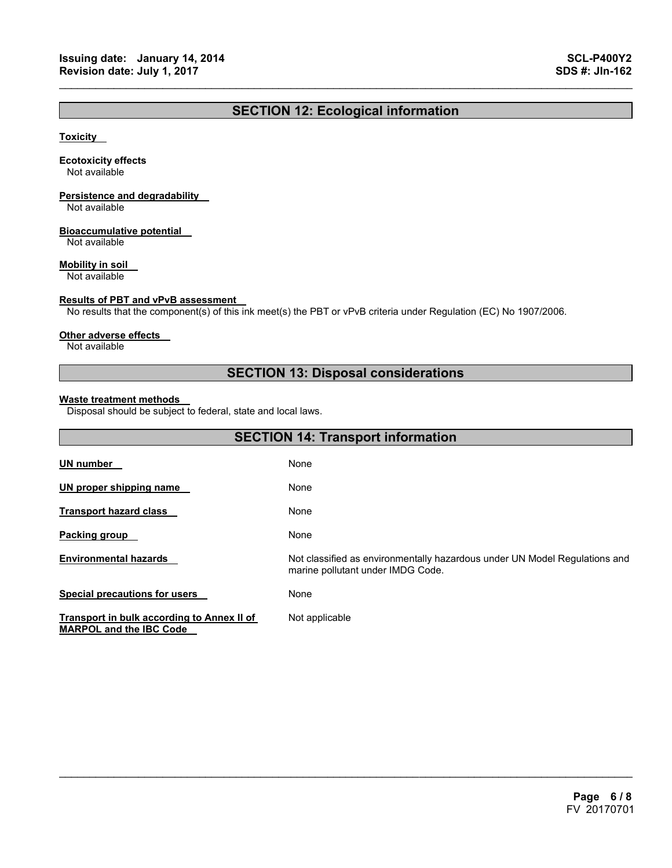## **SECTION 12: Ecological information**

 $\mathcal{L}_\mathcal{L} = \{ \mathcal{L}_\mathcal{L} = \{ \mathcal{L}_\mathcal{L} = \{ \mathcal{L}_\mathcal{L} = \{ \mathcal{L}_\mathcal{L} = \{ \mathcal{L}_\mathcal{L} = \{ \mathcal{L}_\mathcal{L} = \{ \mathcal{L}_\mathcal{L} = \{ \mathcal{L}_\mathcal{L} = \{ \mathcal{L}_\mathcal{L} = \{ \mathcal{L}_\mathcal{L} = \{ \mathcal{L}_\mathcal{L} = \{ \mathcal{L}_\mathcal{L} = \{ \mathcal{L}_\mathcal{L} = \{ \mathcal{L}_\mathcal{$ 

#### **Toxicity**

#### **Ecotoxicity effects**

Not available

## **Persistence and degradability**

Not available

#### **Bioaccumulative potential**

Not available

#### **Mobility in soil**

Not available

#### **Results of PBT and vPvB assessment**

No results that the component(s) of this ink meet(s) the PBT or vPvB criteria under Regulation (EC) No 1907/2006.

#### **Other adverse effects**

Not available

## **SECTION 13: Disposal considerations**

#### **Waste treatment methods**

Disposal should be subject to federal, state and local laws.

| <b>SECTION 14: Transport information</b>                                     |                                                                                                                 |  |
|------------------------------------------------------------------------------|-----------------------------------------------------------------------------------------------------------------|--|
| <b>UN number</b>                                                             | None                                                                                                            |  |
| UN proper shipping name                                                      | None                                                                                                            |  |
| <b>Transport hazard class</b>                                                | None                                                                                                            |  |
| Packing group                                                                | None                                                                                                            |  |
| <b>Environmental hazards</b>                                                 | Not classified as environmentally hazardous under UN Model Regulations and<br>marine pollutant under IMDG Code. |  |
| <b>Special precautions for users</b>                                         | None                                                                                                            |  |
| Transport in bulk according to Annex II of<br><b>MARPOL and the IBC Code</b> | Not applicable                                                                                                  |  |

 $\mathcal{L}_\mathcal{L} = \mathcal{L}_\mathcal{L} = \mathcal{L}_\mathcal{L} = \mathcal{L}_\mathcal{L} = \mathcal{L}_\mathcal{L} = \mathcal{L}_\mathcal{L} = \mathcal{L}_\mathcal{L} = \mathcal{L}_\mathcal{L} = \mathcal{L}_\mathcal{L} = \mathcal{L}_\mathcal{L} = \mathcal{L}_\mathcal{L} = \mathcal{L}_\mathcal{L} = \mathcal{L}_\mathcal{L} = \mathcal{L}_\mathcal{L} = \mathcal{L}_\mathcal{L} = \mathcal{L}_\mathcal{L} = \mathcal{L}_\mathcal{L}$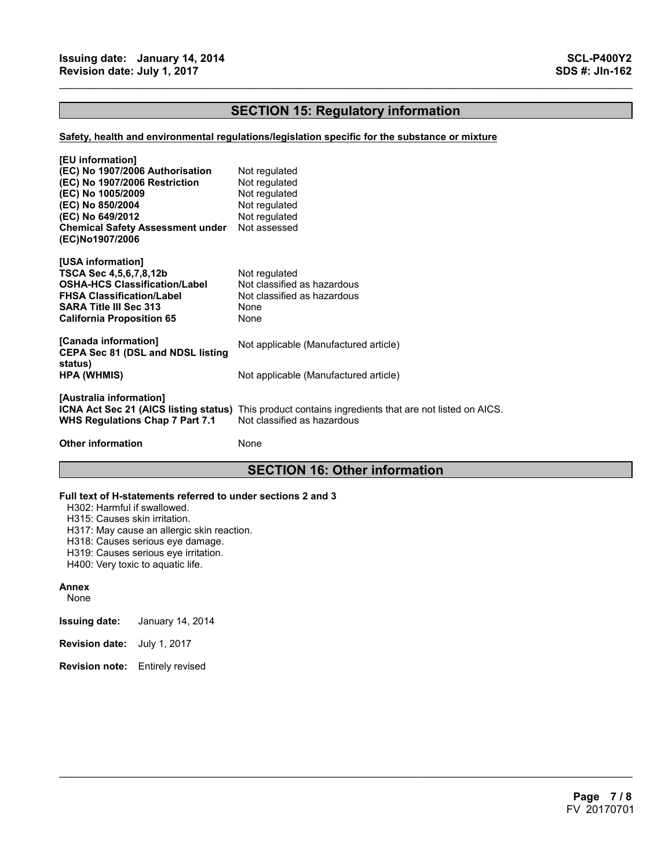## **SECTION 15: Regulatory information**

 $\mathcal{L}_\mathcal{L} = \{ \mathcal{L}_\mathcal{L} = \{ \mathcal{L}_\mathcal{L} = \{ \mathcal{L}_\mathcal{L} = \{ \mathcal{L}_\mathcal{L} = \{ \mathcal{L}_\mathcal{L} = \{ \mathcal{L}_\mathcal{L} = \{ \mathcal{L}_\mathcal{L} = \{ \mathcal{L}_\mathcal{L} = \{ \mathcal{L}_\mathcal{L} = \{ \mathcal{L}_\mathcal{L} = \{ \mathcal{L}_\mathcal{L} = \{ \mathcal{L}_\mathcal{L} = \{ \mathcal{L}_\mathcal{L} = \{ \mathcal{L}_\mathcal{$ 

#### **Safety, health and environmental regulations/legislation specific for the substance or mixture**

| [EU information]<br>(EC) No 1907/2006 Authorisation<br>(EC) No 1907/2006 Restriction<br>(EC) No 1005/2009<br>(EC) No 850/2004<br>(EC) No 649/2012<br><b>Chemical Safety Assessment under</b><br>(EC)No1907/2006 | Not regulated<br>Not regulated<br>Not regulated<br>Not regulated<br>Not regulated<br>Not assessed                                          |
|-----------------------------------------------------------------------------------------------------------------------------------------------------------------------------------------------------------------|--------------------------------------------------------------------------------------------------------------------------------------------|
| [USA information]<br>TSCA Sec 4,5,6,7,8,12b<br>OSHA-HCS Classification/Label<br><b>FHSA Classification/Label</b><br><b>SARA Title III Sec 313</b><br>California Proposition 65                                  | Not regulated<br>Not classified as hazardous<br>Not classified as hazardous<br>None<br>None                                                |
| [Canada information]<br><b>CEPA Sec 81 (DSL and NDSL listing</b>                                                                                                                                                | Not applicable (Manufactured article)                                                                                                      |
| status)<br>HPA (WHMIS)                                                                                                                                                                                          | Not applicable (Manufactured article)                                                                                                      |
| [Australia information]<br><b>WHS Regulations Chap 7 Part 7.1</b>                                                                                                                                               | <b>ICNA Act Sec 21 (AICS listing status)</b> This product contains ingredients that are not listed on AICS.<br>Not classified as hazardous |
| <b>Other information</b>                                                                                                                                                                                        | None                                                                                                                                       |

## **SECTION 16: Other information**

 $\mathcal{L}_\mathcal{L} = \mathcal{L}_\mathcal{L} = \mathcal{L}_\mathcal{L} = \mathcal{L}_\mathcal{L} = \mathcal{L}_\mathcal{L} = \mathcal{L}_\mathcal{L} = \mathcal{L}_\mathcal{L} = \mathcal{L}_\mathcal{L} = \mathcal{L}_\mathcal{L} = \mathcal{L}_\mathcal{L} = \mathcal{L}_\mathcal{L} = \mathcal{L}_\mathcal{L} = \mathcal{L}_\mathcal{L} = \mathcal{L}_\mathcal{L} = \mathcal{L}_\mathcal{L} = \mathcal{L}_\mathcal{L} = \mathcal{L}_\mathcal{L}$ 

#### **Full text of H-statements referred to under sections 2 and 3**

H302: Harmful if swallowed.

H315: Causes skin irritation.

H317: May cause an allergic skin reaction.

H318: Causes serious eye damage.

- H319: Causes serious eye irritation.
- H400: Very toxic to aquatic life.

#### **Annex**

None

- **Issuing date:** January 14, 2014
- **Revision date:** July 1, 2017
- **Revision note:** Entirely revised